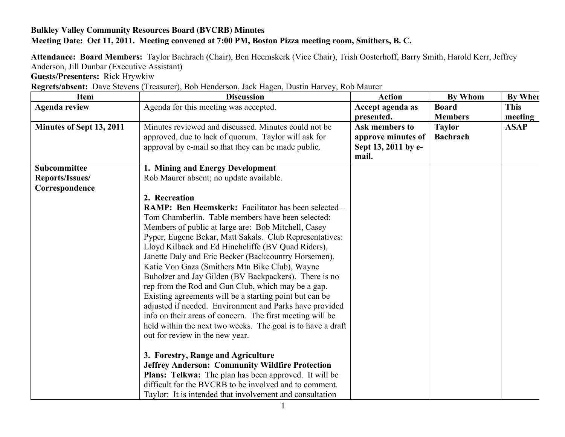## **Bulkley Valley Community Resources Board (BVCRB) Minutes Meeting Date: Oct 11, 2011. Meeting convened at 7:00 PM, Boston Pizza meeting room, Smithers, B. C.**

**Attendance: Board Members:** Taylor Bachrach (Chair), Ben Heemskerk (Vice Chair), Trish Oosterhoff, Barry Smith, Harold Kerr, Jeffrey Anderson, Jill Dunbar (Executive Assistant)

**Guests/Presenters:** Rick Hrywkiw

| Regrets/absent: Dave Stevens (Treasurer), Bob Henderson, Jack Hagen, Dustin Harvey, Rob Maurer |
|------------------------------------------------------------------------------------------------|
|------------------------------------------------------------------------------------------------|

| <b>Item</b>              | <b>Discussion</b>                                            | <b>Action</b>       | <b>By Whom</b>  | By When     |
|--------------------------|--------------------------------------------------------------|---------------------|-----------------|-------------|
| <b>Agenda review</b>     | Agenda for this meeting was accepted.                        | Accept agenda as    | <b>Board</b>    | <b>This</b> |
|                          |                                                              | presented.          | <b>Members</b>  | meeting     |
| Minutes of Sept 13, 2011 | Minutes reviewed and discussed. Minutes could not be         | Ask members to      | <b>Taylor</b>   | <b>ASAP</b> |
|                          | approved, due to lack of quorum. Taylor will ask for         | approve minutes of  | <b>Bachrach</b> |             |
|                          | approval by e-mail so that they can be made public.          | Sept 13, 2011 by e- |                 |             |
|                          |                                                              | mail.               |                 |             |
| Subcommittee             | 1. Mining and Energy Development                             |                     |                 |             |
| Reports/Issues/          | Rob Maurer absent; no update available.                      |                     |                 |             |
| Correspondence           |                                                              |                     |                 |             |
|                          | 2. Recreation                                                |                     |                 |             |
|                          | <b>RAMP: Ben Heemskerk:</b> Facilitator has been selected –  |                     |                 |             |
|                          | Tom Chamberlin. Table members have been selected:            |                     |                 |             |
|                          | Members of public at large are: Bob Mitchell, Casey          |                     |                 |             |
|                          | Pyper, Eugene Bekar, Matt Sakals. Club Representatives:      |                     |                 |             |
|                          | Lloyd Kilback and Ed Hinchcliffe (BV Quad Riders),           |                     |                 |             |
|                          | Janette Daly and Eric Becker (Backcountry Horsemen),         |                     |                 |             |
|                          | Katie Von Gaza (Smithers Mtn Bike Club), Wayne               |                     |                 |             |
|                          | Buholzer and Jay Gilden (BV Backpackers). There is no        |                     |                 |             |
|                          | rep from the Rod and Gun Club, which may be a gap.           |                     |                 |             |
|                          | Existing agreements will be a starting point but can be      |                     |                 |             |
|                          | adjusted if needed. Environment and Parks have provided      |                     |                 |             |
|                          | info on their areas of concern. The first meeting will be    |                     |                 |             |
|                          | held within the next two weeks. The goal is to have a draft  |                     |                 |             |
|                          | out for review in the new year.                              |                     |                 |             |
|                          |                                                              |                     |                 |             |
|                          | 3. Forestry, Range and Agriculture                           |                     |                 |             |
|                          | <b>Jeffrey Anderson: Community Wildfire Protection</b>       |                     |                 |             |
|                          | <b>Plans: Telkwa:</b> The plan has been approved. It will be |                     |                 |             |
|                          | difficult for the BVCRB to be involved and to comment.       |                     |                 |             |
|                          | Taylor: It is intended that involvement and consultation     |                     |                 |             |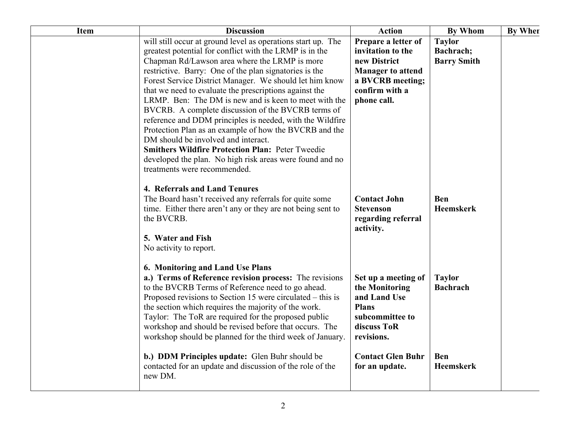| <b>Item</b> | <b>Discussion</b>                                                                                                                                                                                                                                                                                                                                                                                                                                                                                                                                                                                                                                                                                                                                                                           | <b>Action</b>                                                                                                                             | <b>By Whom</b>                                   | <b>By When</b> |
|-------------|---------------------------------------------------------------------------------------------------------------------------------------------------------------------------------------------------------------------------------------------------------------------------------------------------------------------------------------------------------------------------------------------------------------------------------------------------------------------------------------------------------------------------------------------------------------------------------------------------------------------------------------------------------------------------------------------------------------------------------------------------------------------------------------------|-------------------------------------------------------------------------------------------------------------------------------------------|--------------------------------------------------|----------------|
|             | will still occur at ground level as operations start up. The<br>greatest potential for conflict with the LRMP is in the<br>Chapman Rd/Lawson area where the LRMP is more<br>restrictive. Barry: One of the plan signatories is the<br>Forest Service District Manager. We should let him know<br>that we need to evaluate the prescriptions against the<br>LRMP. Ben: The DM is new and is keen to meet with the<br>BVCRB. A complete discussion of the BVCRB terms of<br>reference and DDM principles is needed, with the Wildfire<br>Protection Plan as an example of how the BVCRB and the<br>DM should be involved and interact.<br><b>Smithers Wildfire Protection Plan: Peter Tweedie</b><br>developed the plan. No high risk areas were found and no<br>treatments were recommended. | Prepare a letter of<br>invitation to the<br>new District<br><b>Manager to attend</b><br>a BVCRB meeting;<br>confirm with a<br>phone call. | <b>Taylor</b><br>Bachrach;<br><b>Barry Smith</b> |                |
|             | 4. Referrals and Land Tenures<br>The Board hasn't received any referrals for quite some<br>time. Either there aren't any or they are not being sent to<br>the BVCRB.<br>5. Water and Fish<br>No activity to report.                                                                                                                                                                                                                                                                                                                                                                                                                                                                                                                                                                         | <b>Contact John</b><br><b>Stevenson</b><br>regarding referral<br>activity.                                                                | <b>Ben</b><br><b>Heemskerk</b>                   |                |
|             | 6. Monitoring and Land Use Plans<br>a.) Terms of Reference revision process: The revisions<br>to the BVCRB Terms of Reference need to go ahead.<br>Proposed revisions to Section 15 were circulated – this is<br>the section which requires the majority of the work.<br>Taylor: The ToR are required for the proposed public<br>workshop and should be revised before that occurs. The<br>workshop should be planned for the third week of January.                                                                                                                                                                                                                                                                                                                                        | Set up a meeting of<br>the Monitoring<br>and Land Use<br><b>Plans</b><br>subcommittee to<br>discuss ToR<br>revisions.                     | <b>Taylor</b><br><b>Bachrach</b>                 |                |
|             | b.) DDM Principles update: Glen Buhr should be<br>contacted for an update and discussion of the role of the<br>new DM.                                                                                                                                                                                                                                                                                                                                                                                                                                                                                                                                                                                                                                                                      | <b>Contact Glen Buhr</b><br>for an update.                                                                                                | <b>Ben</b><br><b>Heemskerk</b>                   |                |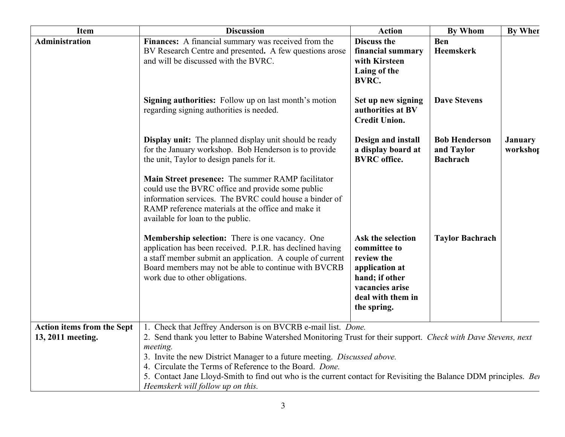| <b>Item</b>                                     | <b>Discussion</b>                                                                                                                                                                                                                                                                                                                                                                                                                                                                            | <b>Action</b>                                                                                                                              | <b>By Whom</b>                                        | By When                    |
|-------------------------------------------------|----------------------------------------------------------------------------------------------------------------------------------------------------------------------------------------------------------------------------------------------------------------------------------------------------------------------------------------------------------------------------------------------------------------------------------------------------------------------------------------------|--------------------------------------------------------------------------------------------------------------------------------------------|-------------------------------------------------------|----------------------------|
| Administration                                  | Finances: A financial summary was received from the<br>BV Research Centre and presented. A few questions arose<br>and will be discussed with the BVRC.                                                                                                                                                                                                                                                                                                                                       | <b>Discuss the</b><br>financial summary<br>with Kirsteen<br>Laing of the<br><b>BVRC.</b>                                                   | <b>Ben</b><br>Heemskerk                               |                            |
|                                                 | Signing authorities: Follow up on last month's motion<br>regarding signing authorities is needed.                                                                                                                                                                                                                                                                                                                                                                                            | Set up new signing<br>authorities at BV<br><b>Credit Union.</b>                                                                            | <b>Dave Stevens</b>                                   |                            |
|                                                 | <b>Display unit:</b> The planned display unit should be ready<br>for the January workshop. Bob Henderson is to provide<br>the unit, Taylor to design panels for it.                                                                                                                                                                                                                                                                                                                          | Design and install<br>a display board at<br><b>BVRC</b> office.                                                                            | <b>Bob Henderson</b><br>and Taylor<br><b>Bachrach</b> | <b>January</b><br>workshop |
|                                                 | Main Street presence: The summer RAMP facilitator<br>could use the BVRC office and provide some public<br>information services. The BVRC could house a binder of<br>RAMP reference materials at the office and make it<br>available for loan to the public.                                                                                                                                                                                                                                  |                                                                                                                                            |                                                       |                            |
|                                                 | Membership selection: There is one vacancy. One<br>application has been received. P.I.R. has declined having<br>a staff member submit an application. A couple of current<br>Board members may not be able to continue with BVCRB<br>work due to other obligations.                                                                                                                                                                                                                          | Ask the selection<br>committee to<br>review the<br>application at<br>hand; if other<br>vacancies arise<br>deal with them in<br>the spring. | <b>Taylor Bachrach</b>                                |                            |
| Action items from the Sept<br>13, 2011 meeting. | 1. Check that Jeffrey Anderson is on BVCRB e-mail list. Done.<br>2. Send thank you letter to Babine Watershed Monitoring Trust for their support. Check with Dave Stevens, next<br>meeting.<br>3. Invite the new District Manager to a future meeting. Discussed above.<br>4. Circulate the Terms of Reference to the Board. Done.<br>5. Contact Jane Lloyd-Smith to find out who is the current contact for Revisiting the Balance DDM principles. Bet<br>Heemskerk will follow up on this. |                                                                                                                                            |                                                       |                            |